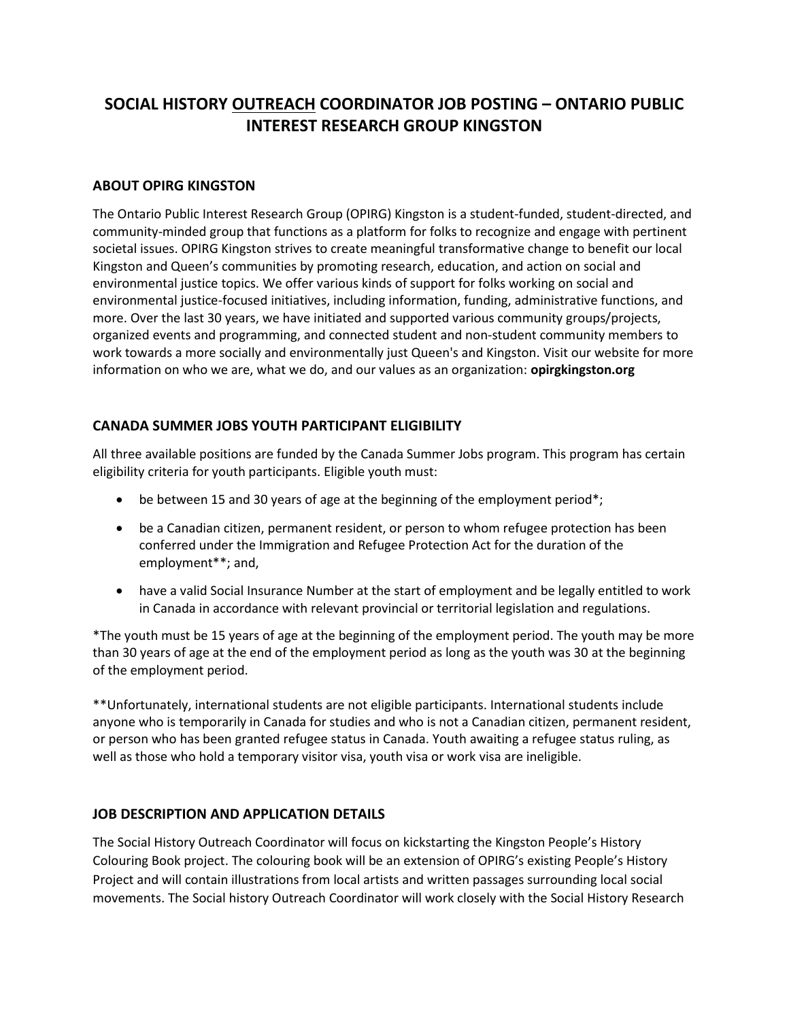## **SOCIAL HISTORY OUTREACH COORDINATOR JOB POSTING – ONTARIO PUBLIC INTEREST RESEARCH GROUP KINGSTON**

## **ABOUT OPIRG KINGSTON**

The Ontario Public Interest Research Group (OPIRG) Kingston is a student-funded, student-directed, and community-minded group that functions as a platform for folks to recognize and engage with pertinent societal issues. OPIRG Kingston strives to create meaningful transformative change to benefit our local Kingston and Queen's communities by promoting research, education, and action on social and environmental justice topics. We offer various kinds of support for folks working on social and environmental justice-focused initiatives, including information, funding, administrative functions, and more. Over the last 30 years, we have initiated and supported various community groups/projects, organized events and programming, and connected student and non-student community members to work towards a more socially and environmentally just Queen's and Kingston. Visit our website for more information on who we are, what we do, and our values as an organization: **opirgkingston.org**

## **CANADA SUMMER JOBS YOUTH PARTICIPANT ELIGIBILITY**

All three available positions are funded by the Canada Summer Jobs program. This program has certain eligibility criteria for youth participants. Eligible youth must:

- be between 15 and 30 years of age at the beginning of the employment period\*;
- be a Canadian citizen, permanent resident, or person to whom refugee protection has been conferred under the Immigration and Refugee Protection Act for the duration of the employment\*\*; and,
- have a valid Social Insurance Number at the start of employment and be legally entitled to work in Canada in accordance with relevant provincial or territorial legislation and regulations.

\*The youth must be 15 years of age at the beginning of the employment period. The youth may be more than 30 years of age at the end of the employment period as long as the youth was 30 at the beginning of the employment period.

\*\*Unfortunately, international students are not eligible participants. International students include anyone who is temporarily in Canada for studies and who is not a Canadian citizen, permanent resident, or person who has been granted refugee status in Canada. Youth awaiting a refugee status ruling, as well as those who hold a temporary visitor visa, youth visa or work visa are ineligible.

## **JOB DESCRIPTION AND APPLICATION DETAILS**

The Social History Outreach Coordinator will focus on kickstarting the Kingston People's History Colouring Book project. The colouring book will be an extension of OPIRG's existing People's History Project and will contain illustrations from local artists and written passages surrounding local social movements. The Social history Outreach Coordinator will work closely with the Social History Research